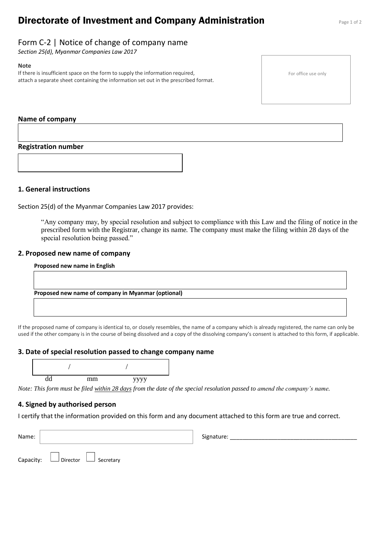# **Directorate of Investment and Company Administration** Page 1 of 2

# Form C-2 | Notice of change of company name

*Section 25(d), Myanmar Companies Law 2017*

#### **Note**

If there is insufficient space on the form to supply the information required, attach a separate sheet containing the information set out in the prescribed format. For office use only

#### **Name of company**

**Registration number** 

#### **1. General instructions**

Section 25(d) of the Myanmar Companies Law 2017 provides:

"Any company may, by special resolution and subject to compliance with this Law and the filing of notice in the prescribed form with the Registrar, change its name. The company must make the filing within 28 days of the special resolution being passed."

#### **2. Proposed new name of company**

If the proposed name of company is identical to, or closely resembles, the name of a company which is already registered, the name can only be used if the other company is in the course of being dissolved and a copy of the dissolving company's consent is attached to this form, if applicable.

#### **3. Date of special resolution passed to change company name**



*Note: This form must be filed within 28 days from the date of the special resolution passed to amend the company's name.*

#### **4. Signed by authorised person**

I certify that the information provided on this form and any document attached to this form are true and correct.

| Name: |                                            | Signature: |
|-------|--------------------------------------------|------------|
|       | Capacity: $\Box$ Director $\Box$ Secretary |            |